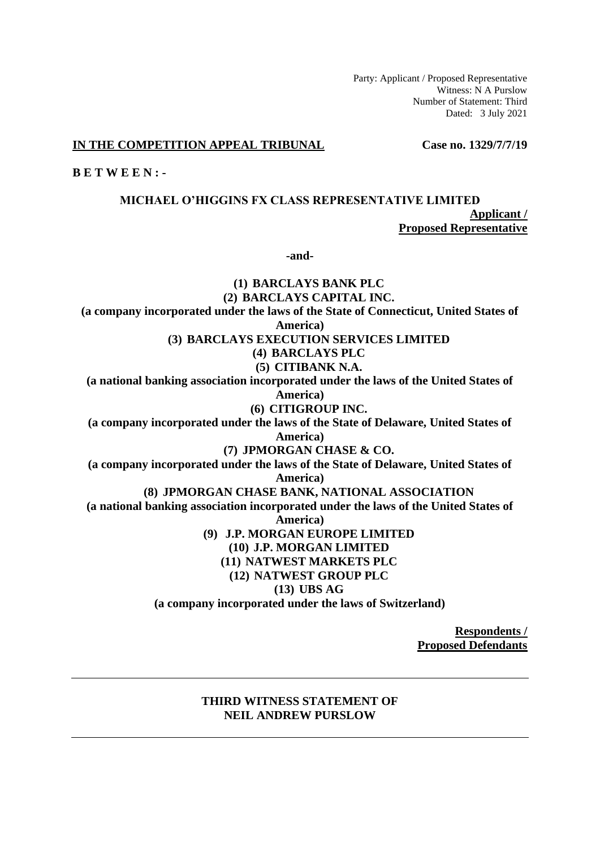Party: Applicant / Proposed Representative Witness: N A Purslow Number of Statement: Third Dated: 3 July 2021

#### **IN THE COMPETITION APPEAL TRIBUNAL Case no. 1329/7/7/19**

**B E T W E E N : -**

**MICHAEL O'HIGGINS FX CLASS REPRESENTATIVE LIMITED Applicant / Proposed Representative**

**-and-**

**(1) BARCLAYS BANK PLC (2) BARCLAYS CAPITAL INC. (a company incorporated under the laws of the State of Connecticut, United States of America) (3) BARCLAYS EXECUTION SERVICES LIMITED (4) BARCLAYS PLC (5) CITIBANK N.A. (a national banking association incorporated under the laws of the United States of America) (6) CITIGROUP INC. (a company incorporated under the laws of the State of Delaware, United States of America) (7) JPMORGAN CHASE & CO. (a company incorporated under the laws of the State of Delaware, United States of America) (8) JPMORGAN CHASE BANK, NATIONAL ASSOCIATION (a national banking association incorporated under the laws of the United States of America) (9) J.P. MORGAN EUROPE LIMITED (10) J.P. MORGAN LIMITED (11) NATWEST MARKETS PLC (12) NATWEST GROUP PLC (13) UBS AG (a company incorporated under the laws of Switzerland)**

> **Respondents / Proposed Defendants**

### **THIRD WITNESS STATEMENT OF NEIL ANDREW PURSLOW**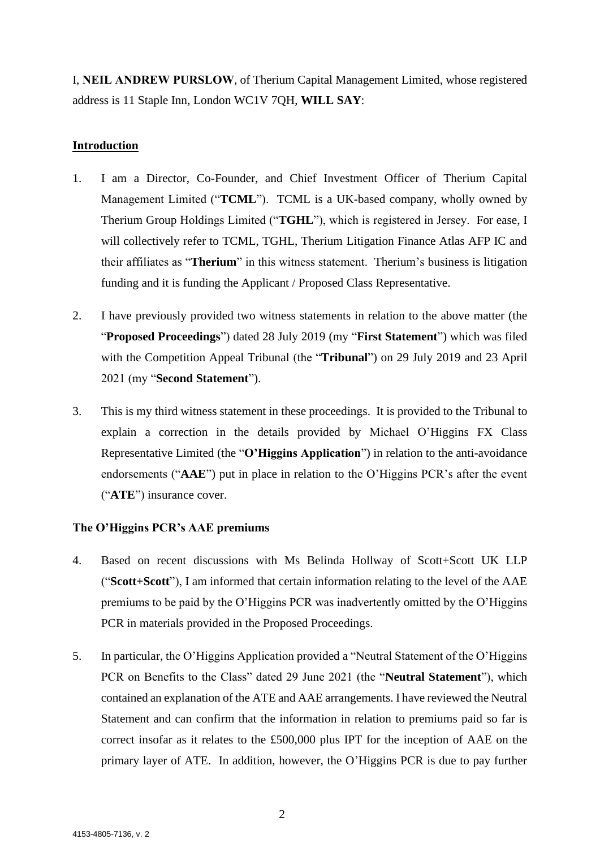I, **NEIL ANDREW PURSLOW**, of Therium Capital Management Limited, whose registered address is 11 Staple Inn, London WC1V 7QH, **WILL SAY**:

# **Introduction**

- 1. I am a Director, Co-Founder, and Chief Investment Officer of Therium Capital Management Limited ("**TCML**"). TCML is a UK-based company, wholly owned by Therium Group Holdings Limited ("**TGHL**"), which is registered in Jersey. For ease, I will collectively refer to TCML, TGHL, Therium Litigation Finance Atlas AFP IC and their affiliates as "**Therium**" in this witness statement. Therium's business is litigation funding and it is funding the Applicant / Proposed Class Representative.
- 2. I have previously provided two witness statements in relation to the above matter (the "**Proposed Proceedings**") dated 28 July 2019 (my "**First Statement**") which was filed with the Competition Appeal Tribunal (the "**Tribunal**") on 29 July 2019 and 23 April 2021 (my "**Second Statement**").
- 3. This is my third witness statement in these proceedings. It is provided to the Tribunal to explain a correction in the details provided by Michael O'Higgins FX Class Representative Limited (the "**O'Higgins Application**") in relation to the anti-avoidance endorsements ("**AAE**") put in place in relation to the O'Higgins PCR's after the event ("**ATE**") insurance cover.

# **The O'Higgins PCR's AAE premiums**

- 4. Based on recent discussions with Ms Belinda Hollway of Scott+Scott UK LLP ("**Scott+Scott**"), I am informed that certain information relating to the level of the AAE premiums to be paid by the O'Higgins PCR was inadvertently omitted by the O'Higgins PCR in materials provided in the Proposed Proceedings.
- 5. In particular, the O'Higgins Application provided a "Neutral Statement of the O'Higgins PCR on Benefits to the Class" dated 29 June 2021 (the "**Neutral Statement**"), which contained an explanation of the ATE and AAE arrangements. I have reviewed the Neutral Statement and can confirm that the information in relation to premiums paid so far is correct insofar as it relates to the £500,000 plus IPT for the inception of AAE on the primary layer of ATE. In addition, however, the O'Higgins PCR is due to pay further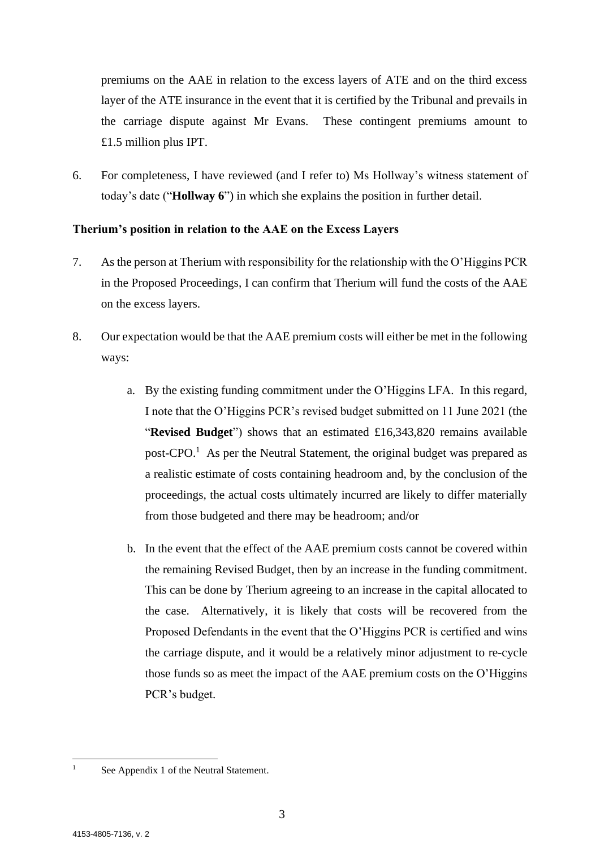premiums on the AAE in relation to the excess layers of ATE and on the third excess layer of the ATE insurance in the event that it is certified by the Tribunal and prevails in the carriage dispute against Mr Evans. These contingent premiums amount to £1.5 million plus IPT.

6. For completeness, I have reviewed (and I refer to) Ms Hollway's witness statement of today's date ("**Hollway 6**") in which she explains the position in further detail.

### **Therium's position in relation to the AAE on the Excess Layers**

- 7. As the person at Therium with responsibility for the relationship with the O'Higgins PCR in the Proposed Proceedings, I can confirm that Therium will fund the costs of the AAE on the excess layers.
- 8. Our expectation would be that the AAE premium costs will either be met in the following ways:
	- a. By the existing funding commitment under the O'Higgins LFA. In this regard, I note that the O'Higgins PCR's revised budget submitted on 11 June 2021 (the "**Revised Budget**") shows that an estimated £16,343,820 remains available post-CPO.<sup>1</sup> As per the Neutral Statement, the original budget was prepared as a realistic estimate of costs containing headroom and, by the conclusion of the proceedings, the actual costs ultimately incurred are likely to differ materially from those budgeted and there may be headroom; and/or
	- b. In the event that the effect of the AAE premium costs cannot be covered within the remaining Revised Budget, then by an increase in the funding commitment. This can be done by Therium agreeing to an increase in the capital allocated to the case. Alternatively, it is likely that costs will be recovered from the Proposed Defendants in the event that the O'Higgins PCR is certified and wins the carriage dispute, and it would be a relatively minor adjustment to re-cycle those funds so as meet the impact of the AAE premium costs on the O'Higgins PCR's budget.

<sup>&</sup>lt;sup>1</sup> See Appendix 1 of the Neutral Statement.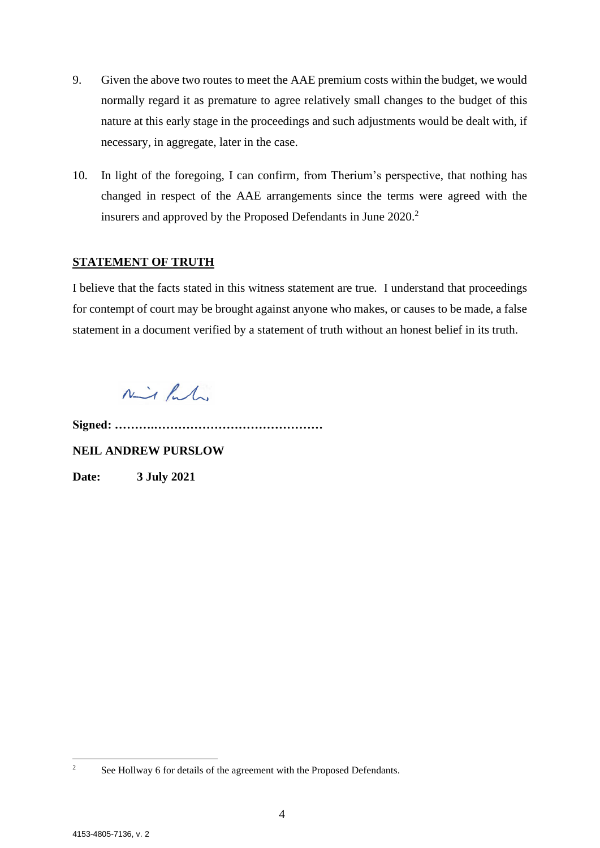- 9. Given the above two routes to meet the AAE premium costs within the budget, we would normally regard it as premature to agree relatively small changes to the budget of this nature at this early stage in the proceedings and such adjustments would be dealt with, if necessary, in aggregate, later in the case.
- 10. In light of the foregoing, I can confirm, from Therium's perspective, that nothing has changed in respect of the AAE arrangements since the terms were agreed with the insurers and approved by the Proposed Defendants in June 2020.<sup>2</sup>

## **STATEMENT OF TRUTH**

I believe that the facts stated in this witness statement are true. I understand that proceedings for contempt of court may be brought against anyone who makes, or causes to be made, a false statement in a document verified by a statement of truth without an honest belief in its truth.

 $N\rightarrow L$ 

**Signed: ……….……………………………………**

**NEIL ANDREW PURSLOW**

**Date: 3 July 2021**

<sup>&</sup>lt;sup>2</sup> See Hollway 6 for details of the agreement with the Proposed Defendants.